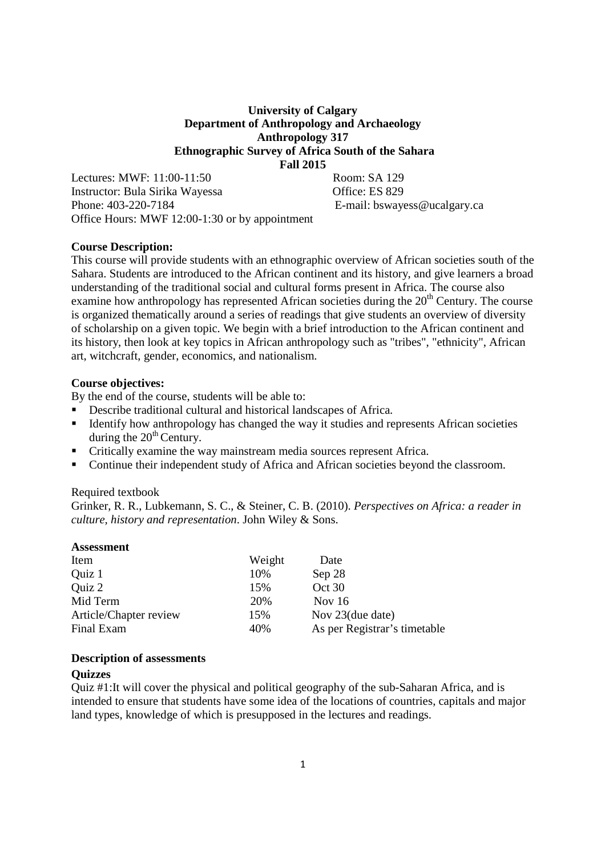## **University of Calgary Department of Anthropology and Archaeology Anthropology 317 Ethnographic Survey of Africa South of the Sahara Fall 2015**

Lectures: MWF: 11:00-11:50 Room: SA 129 Instructor: Bula Sirika Wayessa Office: ES 829 Phone: 403-220-7184 E-mail: bswayess@ucalgary.ca Office Hours: MWF 12:00-1:30 or by appointment

## **Course Description:**

This course will provide students with an ethnographic overview of African societies south of the Sahara. Students are introduced to the African continent and its history, and give learners a broad understanding of the traditional social and cultural forms present in Africa. The course also examine how anthropology has represented African societies during the  $20<sup>th</sup>$  Century. The course is organized thematically around a series of readings that give students an overview of diversity of scholarship on a given topic. We begin with a brief introduction to the African continent and its history, then look at key topics in African anthropology such as "tribes", "ethnicity", African art, witchcraft, gender, economics, and nationalism.

## **Course objectives:**

By the end of the course, students will be able to:

- Describe traditional cultural and historical landscapes of Africa.
- Identify how anthropology has changed the way it studies and represents African societies during the  $20<sup>th</sup>$  Century.
- Critically examine the way mainstream media sources represent Africa.
- Continue their independent study of Africa and African societies beyond the classroom.

### Required textbook

Grinker, R. R., Lubkemann, S. C., & Steiner, C. B. (2010). *Perspectives on Africa: a reader in culture, history and representation*. John Wiley & Sons.

| <b>Assessment</b>      |        |                              |
|------------------------|--------|------------------------------|
| Item                   | Weight | Date                         |
| Quiz 1                 | 10%    | Sep 28                       |
| Quiz 2                 | 15%    | Oct 30                       |
| Mid Term               | 20%    | Nov $16$                     |
| Article/Chapter review | 15%    | Nov 23(due date)             |
| Final Exam             | 40%    | As per Registrar's timetable |

#### **Description of assessments**

### **Quizzes**

Quiz #1:It will cover the physical and political geography of the sub-Saharan Africa, and is intended to ensure that students have some idea of the locations of countries, capitals and major land types, knowledge of which is presupposed in the lectures and readings.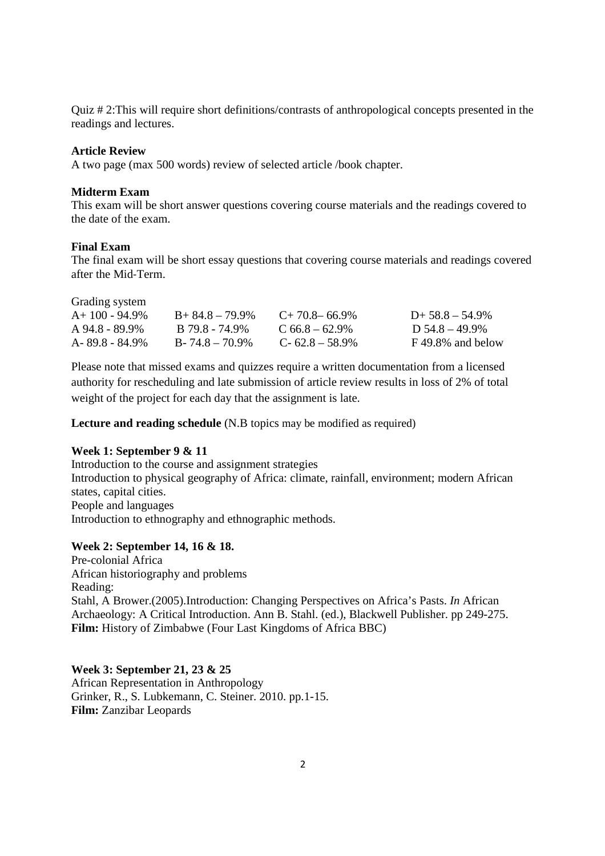Quiz # 2:This will require short definitions/contrasts of anthropological concepts presented in the readings and lectures.

## **Article Review**

A two page (max 500 words) review of selected article /book chapter.

### **Midterm Exam**

This exam will be short answer questions covering course materials and the readings covered to the date of the exam.

#### **Final Exam**

The final exam will be short essay questions that covering course materials and readings covered after the Mid‐Term.

| Grading system     |                     |                     |                   |
|--------------------|---------------------|---------------------|-------------------|
| $A+100-94.9\%$     | $B+84.8-79.9\%$     | $C+70.8-66.9\%$     | $D+ 58.8 - 54.9%$ |
| $A\,94.8 - 89.9\%$ | B 79.8 - 74.9%      | $C$ 66.8 – 62.9%    | D 54.8 – 49.9%    |
| A-89.8 - 84.9%     | $B - 74.8 - 70.9\%$ | $C - 62.8 - 58.9\%$ | F 49.8% and below |

Please note that missed exams and quizzes require a written documentation from a licensed authority for rescheduling and late submission of article review results in loss of 2% of total weight of the project for each day that the assignment is late.

**Lecture and reading schedule** (N.B topics may be modified as required)

#### **Week 1: September 9 & 11**

Introduction to the course and assignment strategies Introduction to physical geography of Africa: climate, rainfall, environment; modern African states, capital cities. People and languages Introduction to ethnography and ethnographic methods.

## **Week 2: September 14, 16 & 18.**

Pre-colonial Africa African historiography and problems Reading: Stahl, A Brower.(2005).Introduction: Changing Perspectives on Africa's Pasts. *In* African Archaeology: A Critical Introduction. Ann B. Stahl. (ed.), Blackwell Publisher. pp 249-275. Film: History of Zimbabwe (Four Last Kingdoms of Africa BBC)

**Week 3: September 21, 23 & 25**  African Representation in Anthropology Grinker, R., S. Lubkemann, C. Steiner. 2010. pp.1-15. **Film:** Zanzibar Leopards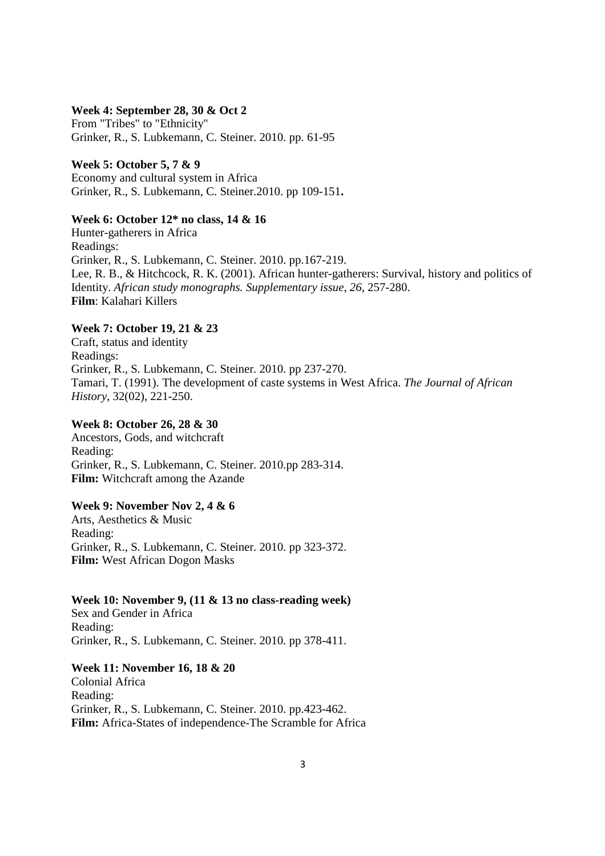#### **Week 4: September 28, 30 & Oct 2**

From "Tribes" to "Ethnicity" Grinker, R., S. Lubkemann, C. Steiner. 2010. pp. 61-95

**Week 5: October 5, 7 & 9**  Economy and cultural system in Africa Grinker, R., S. Lubkemann, C. Steiner.2010. pp 109-151**.** 

## **Week 6: October 12\* no class, 14 & 16**

Hunter-gatherers in Africa Readings: Grinker, R., S. Lubkemann, C. Steiner. 2010. pp.167-219. Lee, R. B., & Hitchcock, R. K. (2001). African hunter-gatherers: Survival, history and politics of Identity. *African study monographs. Supplementary issue*, *26*, 257-280. **Film**: Kalahari Killers

## **Week 7: October 19, 21 & 23**

Craft, status and identity Readings: Grinker, R., S. Lubkemann, C. Steiner. 2010. pp 237-270. Tamari, T. (1991). The development of caste systems in West Africa. *The Journal of African History*, 32(02), 221-250.

#### **Week 8: October 26, 28 & 30**

Ancestors, Gods, and witchcraft Reading: Grinker, R., S. Lubkemann, C. Steiner. 2010.pp 283-314. **Film:** Witchcraft among the Azande

### **Week 9: November Nov 2, 4 & 6**

Arts, Aesthetics & Music Reading: Grinker, R., S. Lubkemann, C. Steiner. 2010. pp 323-372. **Film:** West African Dogon Masks

#### **Week 10: November 9, (11 & 13 no class-reading week)**

Sex and Gender in Africa Reading: Grinker, R., S. Lubkemann, C. Steiner. 2010. pp 378-411.

## **Week 11: November 16, 18 & 20**

Colonial Africa Reading: Grinker, R., S. Lubkemann, C. Steiner. 2010. pp.423-462. **Film:** Africa-States of independence-The Scramble for Africa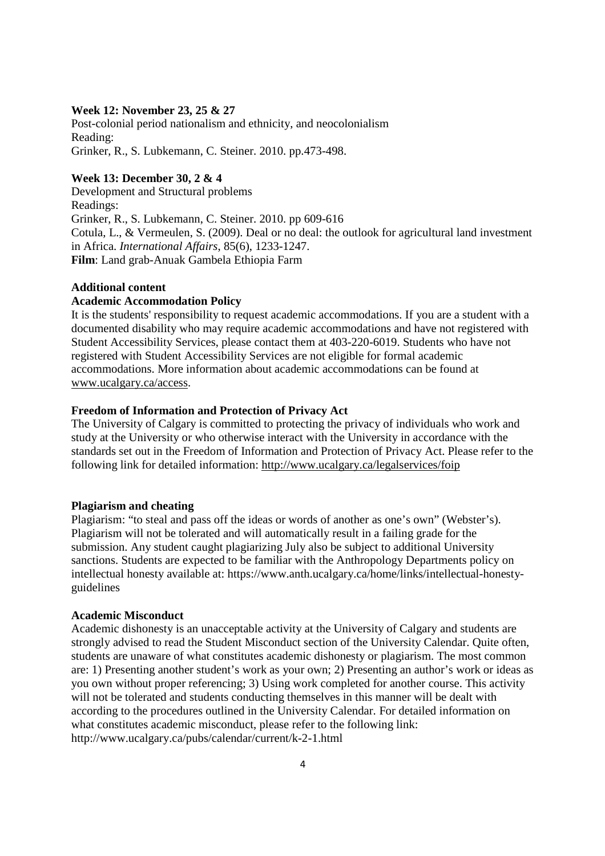### **Week 12: November 23, 25 & 27**

Post-colonial period nationalism and ethnicity, and neocolonialism Reading: Grinker, R., S. Lubkemann, C. Steiner. 2010. pp.473-498.

## **Week 13: December 30, 2 & 4**

Development and Structural problems Readings: Grinker, R., S. Lubkemann, C. Steiner. 2010. pp 609-616 Cotula, L., & Vermeulen, S. (2009). Deal or no deal: the outlook for agricultural land investment in Africa. *International Affairs*, 85(6), 1233-1247. **Film**: Land grab-Anuak Gambela Ethiopia Farm

## **Additional content**

#### **Academic Accommodation Policy**

It is the students' responsibility to request academic accommodations. If you are a student with a documented disability who may require academic accommodations and have not registered with Student Accessibility Services, please contact them at 403-220-6019. Students who have not registered with Student Accessibility Services are not eligible for formal academic accommodations. More information about academic accommodations can be found at www.ucalgary.ca/access.

### **Freedom of Information and Protection of Privacy Act**

The University of Calgary is committed to protecting the privacy of individuals who work and study at the University or who otherwise interact with the University in accordance with the standards set out in the Freedom of Information and Protection of Privacy Act. Please refer to the following link for detailed information: http://www.ucalgary.ca/legalservices/foip

#### **Plagiarism and cheating**

Plagiarism: "to steal and pass off the ideas or words of another as one's own" (Webster's). Plagiarism will not be tolerated and will automatically result in a failing grade for the submission. Any student caught plagiarizing July also be subject to additional University sanctions. Students are expected to be familiar with the Anthropology Departments policy on intellectual honesty available at: https://www.anth.ucalgary.ca/home/links/intellectual-honestyguidelines

#### **Academic Misconduct**

Academic dishonesty is an unacceptable activity at the University of Calgary and students are strongly advised to read the Student Misconduct section of the University Calendar. Quite often, students are unaware of what constitutes academic dishonesty or plagiarism. The most common are: 1) Presenting another student's work as your own; 2) Presenting an author's work or ideas as you own without proper referencing; 3) Using work completed for another course. This activity will not be tolerated and students conducting themselves in this manner will be dealt with according to the procedures outlined in the University Calendar. For detailed information on what constitutes academic misconduct, please refer to the following link: http://www.ucalgary.ca/pubs/calendar/current/k-2-1.html